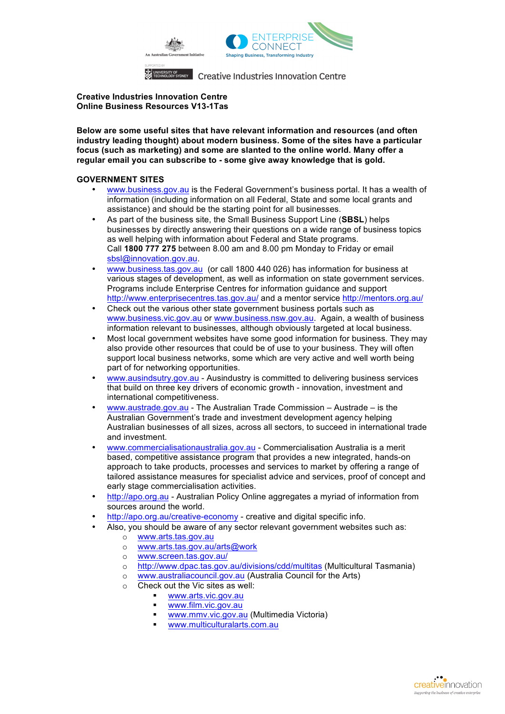

**Creative Industries Innovation Centre Online Business Resources V13-1Tas**

**Below are some useful sites that have relevant information and resources (and often industry leading thought) about modern business. Some of the sites have a particular focus (such as marketing) and some are slanted to the online world. Many offer a regular email you can subscribe to - some give away knowledge that is gold.** 

### **GOVERNMENT SITES**

- www.business.gov.au is the Federal Government's business portal. It has a wealth of information (including information on all Federal, State and some local grants and assistance) and should be the starting point for all businesses.
- As part of the business site, the Small Business Support Line (**SBSL**) helps businesses by directly answering their questions on a wide range of business topics as well helping with information about Federal and State programs. Call **1800 777 275** between 8.00 am and 8.00 pm Monday to Friday or email sbsl@innovation.gov.au.
- www.business.tas.gov.au (or call 1800 440 026) has information for business at various stages of development, as well as information on state government services. Programs include Enterprise Centres for information guidance and support http://www.enterprisecentres.tas.gov.au/ and a mentor service http://mentors.org.au/
- Check out the various other state government business portals such as www.business.vic.gov.au or www.business.nsw.gov.au. Again, a wealth of business information relevant to businesses, although obviously targeted at local business.
- Most local government websites have some good information for business. They may also provide other resources that could be of use to your business. They will often support local business networks, some which are very active and well worth being part of for networking opportunities.
- www.ausindsutry.gov.au Ausindustry is committed to delivering business services that build on three key drivers of economic growth - innovation, investment and international competitiveness.
- www.austrade.gov.au The Australian Trade Commission Austrade is the Australian Government's trade and investment development agency helping Australian businesses of all sizes, across all sectors, to succeed in international trade and investment.
- www.commercialisationaustralia.gov.au Commercialisation Australia is a merit based, competitive assistance program that provides a new integrated, hands-on approach to take products, processes and services to market by offering a range of tailored assistance measures for specialist advice and services, proof of concept and early stage commercialisation activities.
- http://apo.org.au Australian Policy Online aggregates a myriad of information from sources around the world.
- http://apo.org.au/creative-economy creative and digital specific info.
- Also, you should be aware of any sector relevant government websites such as:
	- o www.arts.tas.gov.au<br>o www.arts.tas.gov.au
	- www.arts.tas.gov.au/arts@work
	- o www.screen.tas.gov.au/<br>o http://www.dpac.tas.gov.
	- http://www.dpac.tas.gov.au/divisions/cdd/multitas (Multicultural Tasmania)
	- o www.australiacouncil.gov.au (Australia Council for the Arts)
	- Check out the Vic sites as well:
		- § www.arts.vic.gov.au
		- § www.film.vic.gov.au
		- § www.mmv.vic.gov.au (Multimedia Victoria)
		- § www.multiculturalarts.com.au

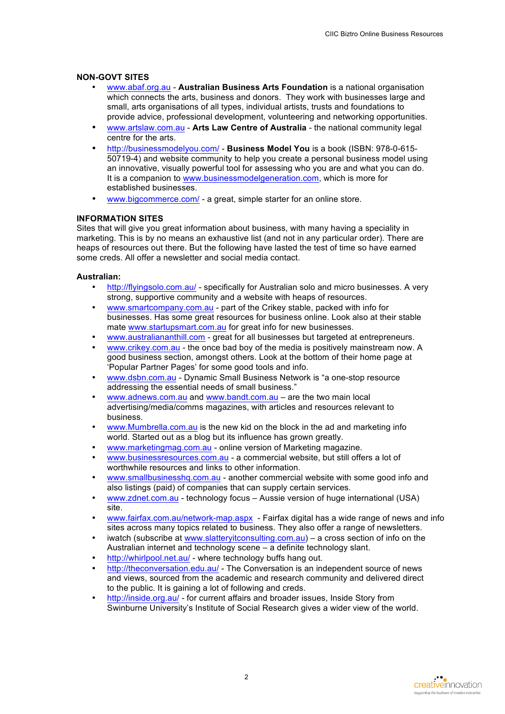### **NON-GOVT SITES**

- www.abaf.org.au **Australian Business Arts Foundation** is a national organisation which connects the arts, business and donors. They work with businesses large and small, arts organisations of all types, individual artists, trusts and foundations to provide advice, professional development, volunteering and networking opportunities.
- www.artslaw.com.au **Arts Law Centre of Australia** the national community legal centre for the arts.
- http://businessmodelyou.com/ **Business Model You** is a book (ISBN: 978-0-615- 50719-4) and website community to help you create a personal business model using an innovative, visually powerful tool for assessing who you are and what you can do. It is a companion to www.businessmodelgeneration.com, which is more for established businesses.
- www.bigcommerce.com/ a great, simple starter for an online store.

# **INFORMATION SITES**

Sites that will give you great information about business, with many having a speciality in marketing. This is by no means an exhaustive list (and not in any particular order). There are heaps of resources out there. But the following have lasted the test of time so have earned some creds. All offer a newsletter and social media contact.

## **Australian:**

- http://flyingsolo.com.au/ specifically for Australian solo and micro businesses. A very strong, supportive community and a website with heaps of resources.
- www.smartcompany.com.au part of the Crikey stable, packed with info for businesses. Has some great resources for business online. Look also at their stable mate www.startupsmart.com.au for great info for new businesses.
- www.australiananthill.com great for all businesses but targeted at entrepreneurs.
- www.crikey.com.au the once bad boy of the media is positively mainstream now. A good business section, amongst others. Look at the bottom of their home page at 'Popular Partner Pages' for some good tools and info.
- www.dsbn.com.au Dynamic Small Business Network is "a one-stop resource addressing the essential needs of small business."
- www.adnews.com.au and www.bandt.com.au are the two main local advertising/media/comms magazines, with articles and resources relevant to business.
- www.Mumbrella.com.au is the new kid on the block in the ad and marketing info world. Started out as a blog but its influence has grown greatly.
- www.marketingmag.com.au online version of Marketing magazine.
- www.businessresources.com.au a commercial website, but still offers a lot of worthwhile resources and links to other information.
- www.smallbusinesshq.com.au another commercial website with some good info and also listings (paid) of companies that can supply certain services.
- www.zdnet.com.au technology focus Aussie version of huge international (USA) site.
- www.fairfax.com.au/network-map.aspx Fairfax digital has a wide range of news and info sites across many topics related to business. They also offer a range of newsletters.
- iwatch (subscribe at www.slatteryitconsulting.com.au) a cross section of info on the Australian internet and technology scene – a definite technology slant.
- http://whirlpool.net.au/ where technology buffs hang out.
- http://theconversation.edu.au/ The Conversation is an independent source of news and views, sourced from the academic and research community and delivered direct to the public. It is gaining a lot of following and creds.
- http://inside.org.au/ for current affairs and broader issues, Inside Story from Swinburne University's Institute of Social Research gives a wider view of the world.

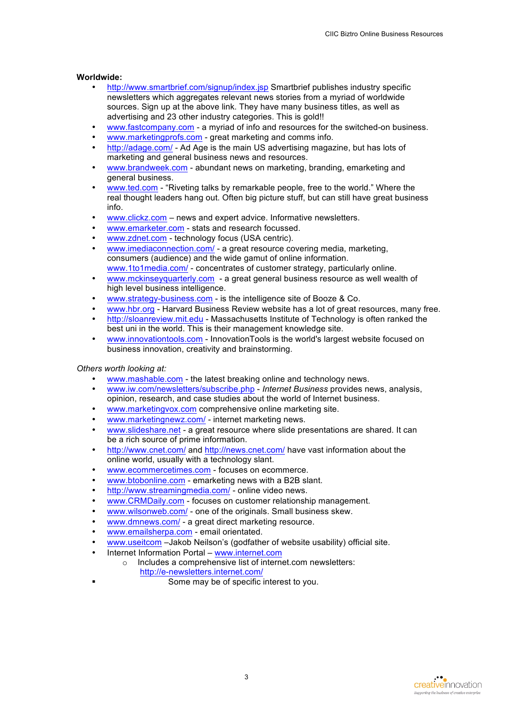#### **Worldwide:**

- http://www.smartbrief.com/signup/index.jsp Smartbrief publishes industry specific newsletters which aggregates relevant news stories from a myriad of worldwide sources. Sign up at the above link. They have many business titles, as well as advertising and 23 other industry categories. This is gold!!
- www.fastcompany.com a myriad of info and resources for the switched-on business.
- www.marketingprofs.com great marketing and comms info.
- http://adage.com/ Ad Age is the main US advertising magazine, but has lots of marketing and general business news and resources.
- www.brandweek.com abundant news on marketing, branding, emarketing and general business.
- www.ted.com "Riveting talks by remarkable people, free to the world." Where the real thought leaders hang out. Often big picture stuff, but can still have great business info.
- www.clickz.com news and expert advice. Informative newsletters.
- www.emarketer.com stats and research focussed.
- www.zdnet.com technology focus (USA centric).
- www.imediaconnection.com/ a great resource covering media, marketing, consumers (audience) and the wide gamut of online information. www.1to1media.com/ - concentrates of customer strategy, particularly online.
- www.mckinseyquarterly.com a great general business resource as well wealth of high level business intelligence.
- www.strategy-business.com is the intelligence site of Booze & Co.
- www.hbr.org Harvard Business Review website has a lot of great resources, many free.
- http://sloanreview.mit.edu Massachusetts Institute of Technology is often ranked the best uni in the world. This is their management knowledge site.
- www.innovationtools.com InnovationTools is the world's largest website focused on business innovation, creativity and brainstorming.

*Others worth looking at:*

- www.mashable.com the latest breaking online and technology news.
- www.iw.com/newsletters/subscribe.php *Internet Business* provides news, analysis, opinion, research, and case studies about the world of Internet business.
- www.marketingvox.com comprehensive online marketing site.
- www.marketingnewz.com/ internet marketing news.
- www.slideshare.net a great resource where slide presentations are shared. It can be a rich source of prime information.
- http://www.cnet.com/ and http://news.cnet.com/ have vast information about the online world, usually with a technology slant.
- www.ecommercetimes.com focuses on ecommerce.
- www.btobonline.com emarketing news with a B2B slant.
- http://www.streamingmedia.com/ online video news.
- www.CRMDaily.com focuses on customer relationship management.
- www.wilsonweb.com/ one of the originals. Small business skew.
- www.dmnews.com/ a great direct marketing resource.
- www.emailsherpa.com email orientated.
- www.useitcom –Jakob Neilson's (godfather of website usability) official site.
- Internet Information Portal www.internet.com
	- o Includes a comprehensive list of internet.com newsletters: http://e-newsletters.internet.com/
- 
- Some may be of specific interest to you.

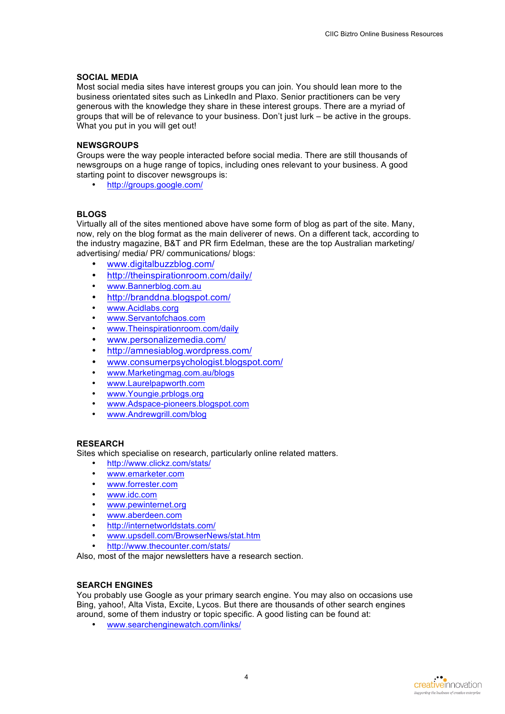### **SOCIAL MEDIA**

Most social media sites have interest groups you can join. You should lean more to the business orientated sites such as LinkedIn and Plaxo. Senior practitioners can be very generous with the knowledge they share in these interest groups. There are a myriad of groups that will be of relevance to your business. Don't just lurk – be active in the groups. What you put in you will get out!

## **NEWSGROUPS**

Groups were the way people interacted before social media. There are still thousands of newsgroups on a huge range of topics, including ones relevant to your business. A good starting point to discover newsgroups is:

• http://groups.google.com/

#### **BLOGS**

Virtually all of the sites mentioned above have some form of blog as part of the site. Many, now, rely on the blog format as the main deliverer of news. On a different tack, according to the industry magazine, B&T and PR firm Edelman, these are the top Australian marketing/ advertising/ media/ PR/ communications/ blogs:

- www.digitalbuzzblog.com/
- http://theinspirationroom.com/daily/
- www.Bannerblog.com.au
- http://branddna.blogspot.com/
- www.Acidlabs.corg
- www.Servantofchaos.com
- www.Theinspirationroom.com/daily
- www.personalizemedia.com/
- http://amnesiablog.wordpress.com/
- www.consumerpsychologist.blogspot.com/
- www.Marketingmag.com.au/blogs
- www.Laurelpapworth.com
- www.Youngie.prblogs.org
- www.Adspace-pioneers.blogspot.com
- www.Andrewgrill.com/blog

#### **RESEARCH**

Sites which specialise on research, particularly online related matters.

- http://www.clickz.com/stats/
- www.emarketer.com
- www.forrester.com
- www.idc.com
- www.pewinternet.org
- www.aberdeen.com
- http://internetworldstats.com/
- www.upsdell.com/BrowserNews/stat.htm
- http://www.thecounter.com/stats/

Also, most of the major newsletters have a research section.

# **SEARCH ENGINES**

You probably use Google as your primary search engine. You may also on occasions use Bing, yahoo!, Alta Vista, Excite, Lycos. But there are thousands of other search engines around, some of them industry or topic specific. A good listing can be found at:

• www.searchenginewatch.com/links/

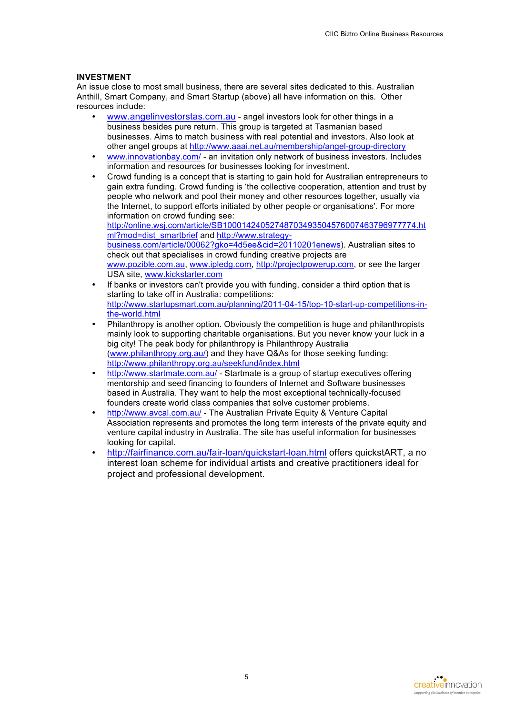## **INVESTMENT**

An issue close to most small business, there are several sites dedicated to this. Australian Anthill, Smart Company, and Smart Startup (above) all have information on this. Other resources include:

- www.angelinvestorstas.com.au angel investors look for other things in a business besides pure return. This group is targeted at Tasmanian based businesses. Aims to match business with real potential and investors. Also look at other angel groups at http://www.aaai.net.au/membership/angel-group-directory
- www.innovationbay.com/ an invitation only network of business investors. Includes information and resources for businesses looking for investment.
- Crowd funding is a concept that is starting to gain hold for Australian entrepreneurs to gain extra funding. Crowd funding is 'the collective cooperation, attention and trust by people who network and pool their money and other resources together, usually via the Internet, to support efforts initiated by other people or organisations'. For more information on crowd funding see: http://online.wsj.com/article/SB10001424052748703493504576007463796977774.ht ml?mod=dist\_smartbrief and http://www.strategybusiness.com/article/00062?gko=4d5ee&cid=20110201enews). Australian sites to check out that specialises in crowd funding creative projects are www.pozible.com.au, www.ipledg.com, http://projectpowerup.com, or see the larger USA site, www.kickstarter.com
- If banks or investors can't provide you with funding, consider a third option that is starting to take off in Australia: competitions: http://www.startupsmart.com.au/planning/2011-04-15/top-10-start-up-competitions-inthe-world.html
- Philanthropy is another option. Obviously the competition is huge and philanthropists mainly look to supporting charitable organisations. But you never know your luck in a big city! The peak body for philanthropy is Philanthropy Australia (www.philanthropy.org.au/) and they have Q&As for those seeking funding: http://www.philanthropy.org.au/seekfund/index.html
- http://www.startmate.com.au/ Startmate is a group of startup executives offering mentorship and seed financing to founders of Internet and Software businesses based in Australia. They want to help the most exceptional technically-focused founders create world class companies that solve customer problems.
- http://www.avcal.com.au/ The Australian Private Equity & Venture Capital Association represents and promotes the long term interests of the private equity and venture capital industry in Australia. The site has useful information for businesses looking for capital.
- http://fairfinance.com.au/fair-loan/quickstart-loan.html offers quickstART, a no interest loan scheme for individual artists and creative practitioners ideal for project and professional development.